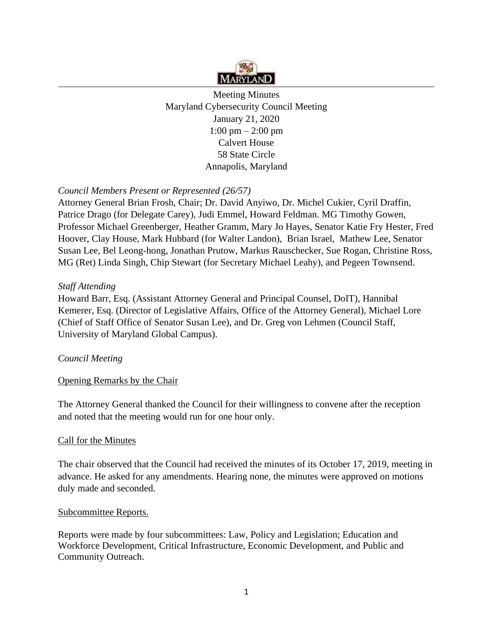

Meeting Minutes Maryland Cybersecurity Council Meeting January 21, 2020 1:00 pm – 2:00 pm Calvert House 58 State Circle Annapolis, Maryland

## *Council Members Present or Represented (26/57)*

Attorney General Brian Frosh, Chair; Dr. David Anyiwo, Dr. Michel Cukier, Cyril Draffin, Patrice Drago (for Delegate Carey), Judi Emmel, Howard Feldman. MG Timothy Gowen, Professor Michael Greenberger, Heather Gramm, Mary Jo Hayes, Senator Katie Fry Hester, Fred Hoover, Clay House, Mark Hubbard (for Walter Landon), Brian Israel, Mathew Lee, Senator Susan Lee, Bel Leong-hong, Jonathan Prutow, Markus Rauschecker, Sue Rogan, Christine Ross, MG (Ret) Linda Singh, Chip Stewart (for Secretary Michael Leahy), and Pegeen Townsend.

#### *Staff Attending*

Howard Barr, Esq. (Assistant Attorney General and Principal Counsel, DoIT), Hannibal Kemerer, Esq. (Director of Legislative Affairs, Office of the Attorney General), Michael Lore (Chief of Staff Office of Senator Susan Lee), and Dr. Greg von Lehmen (Council Staff, University of Maryland Global Campus).

## *Council Meeting*

## Opening Remarks by the Chair

The Attorney General thanked the Council for their willingness to convene after the reception and noted that the meeting would run for one hour only.

#### Call for the Minutes

The chair observed that the Council had received the minutes of its October 17, 2019, meeting in advance. He asked for any amendments. Hearing none, the minutes were approved on motions duly made and seconded.

#### Subcommittee Reports.

Reports were made by four subcommittees: Law, Policy and Legislation; Education and Workforce Development, Critical Infrastructure, Economic Development, and Public and Community Outreach.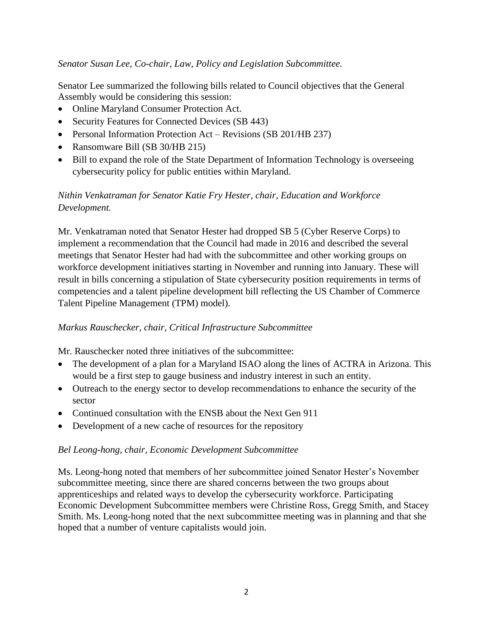## *Senator Susan Lee, Co-chair, Law, Policy and Legislation Subcommittee.*

Senator Lee summarized the following bills related to Council objectives that the General Assembly would be considering this session:

- Online Maryland Consumer Protection Act.
- Security Features for Connected Devices (SB 443)
- Personal Information Protection Act Revisions (SB 201/HB 237)
- Ransomware Bill (SB 30/HB 215)
- Bill to expand the role of the State Department of Information Technology is overseeing cybersecurity policy for public entities within Maryland.

# *Nithin Venkatraman for Senator Katie Fry Hester, chair, Education and Workforce Development.*

Mr. Venkatraman noted that Senator Hester had dropped SB 5 (Cyber Reserve Corps) to implement a recommendation that the Council had made in 2016 and described the several meetings that Senator Hester had had with the subcommittee and other working groups on workforce development initiatives starting in November and running into January. These will result in bills concerning a stipulation of State cybersecurity position requirements in terms of competencies and a talent pipeline development bill reflecting the US Chamber of Commerce Talent Pipeline Management (TPM) model).

## *Markus Rauschecker, chair, Critical Infrastructure Subcommittee*

Mr. Rauschecker noted three initiatives of the subcommittee:

- The development of a plan for a Maryland ISAO along the lines of ACTRA in Arizona. This would be a first step to gauge business and industry interest in such an entity.
- Outreach to the energy sector to develop recommendations to enhance the security of the sector
- Continued consultation with the ENSB about the Next Gen 911
- Development of a new cache of resources for the repository

#### *Bel Leong-hong, chair, Economic Development Subcommittee*

Ms. Leong-hong noted that members of her subcommittee joined Senator Hester's November subcommittee meeting, since there are shared concerns between the two groups about apprenticeships and related ways to develop the cybersecurity workforce. Participating Economic Development Subcommittee members were Christine Ross, Gregg Smith, and Stacey Smith. Ms. Leong-hong noted that the next subcommittee meeting was in planning and that she hoped that a number of venture capitalists would join.